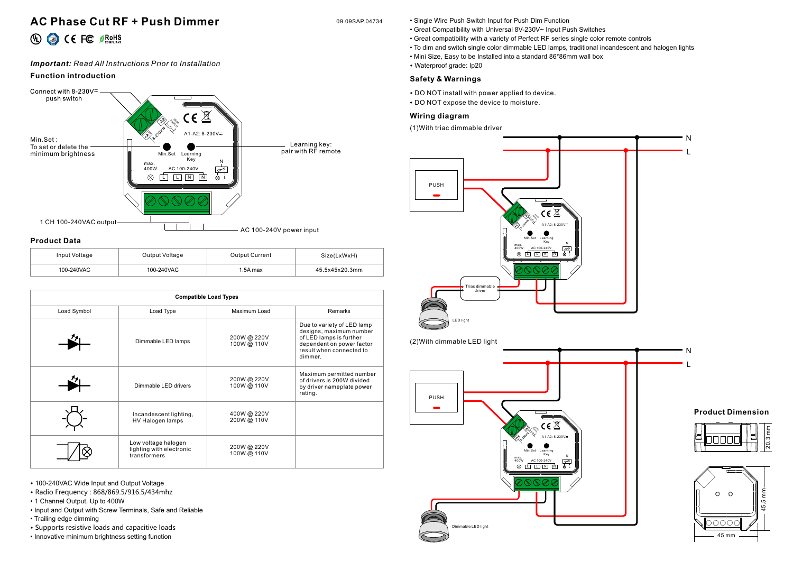# **AC Phase Cut RF + Push Dimmer** 09.09SAP.04734

# 40 << FC <br />
<sub>Section</sub>

## *Important: Read All Instructions Prior to Installation*

## **Function introduction**



### **Product Data**

| Input Voltage | Output Voltage | <b>Output Current</b> | Size(LxWxH)    |
|---------------|----------------|-----------------------|----------------|
| 100-240VAC    | 100-240VAC     | 1.5A max              | 45.5x45x20.3mm |

| <b>Compatible Load Types</b> |                                                                 |                          |                                                                                                                                                      |  |
|------------------------------|-----------------------------------------------------------------|--------------------------|------------------------------------------------------------------------------------------------------------------------------------------------------|--|
| Load Symbol                  | Load Type                                                       | Maximum Load             | Remarks                                                                                                                                              |  |
|                              | Dimmable LED lamps                                              | 200W@220V<br>100W @ 110V | Due to variety of LED lamp<br>designs, maximum number<br>of LED lamps is further<br>dependent on power factor<br>result when connected to<br>dimmer. |  |
|                              | Dimmable LED drivers                                            | 200W@220V<br>100W @ 110V | Maximum permitted number<br>of drivers is 200W divided<br>by driver nameplate power<br>rating.                                                       |  |
|                              | Incandescent lighting,<br>HV Halogen lamps                      | 400W@220V<br>200W@ 110V  |                                                                                                                                                      |  |
|                              | Low voltage halogen<br>lighting with electronic<br>transformers | 200W@220V<br>100W @ 110V |                                                                                                                                                      |  |

• 100-240VAC Wide Input and Output Voltage

- Radio Frequency : 868/869.5/916.5/434mhz
- 1 Channel Output, Up to 400W
- Input and Output with Screw Terminals, Safe and Reliable
- Trailing edge dimming
- Supports resistive loads and capacitive loads
- Innovative minimum brightness setting function
- Single Wire Push Switch Input for Push Dim Function
- Great Compatibility with Universal 8V-230V~ Input Push Switches
- Great compatibility with a variety of Perfect RF series single color remote controls
- To dim and switch single color dimmable LED lamps, traditional incandescent and halogen lights
- Mini Size, Easy to be Installed into a standard 86\*86mm wall box
- Waterproof grade: Ip20

## **Safety & Warnings**

- DO NOT install with power applied to device.
- DO NOT expose the device to moisture.

## **Wiring diagram**

(1)With triac dimmable driver



### **Product Dimension**